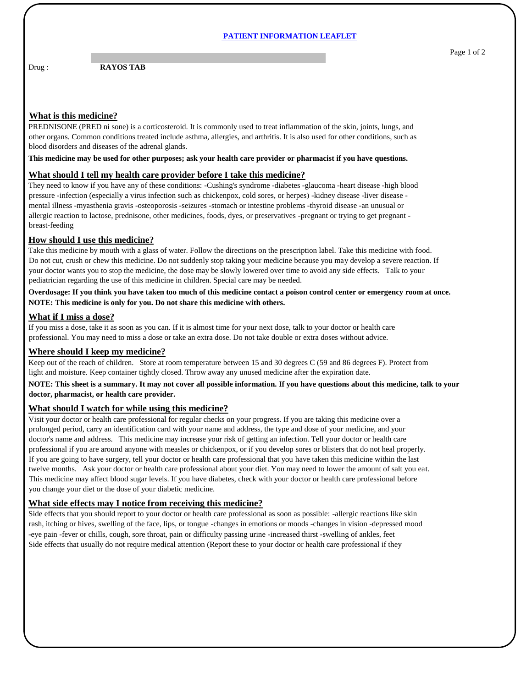#### **PATIENT INFORMATION LEAFLET**

Drug : **RAYOS TAB** 

## **What is this medicine?**

PREDNISONE (PRED ni sone) is a corticosteroid. It is commonly used to treat inflammation of the skin, joints, lungs, and other organs. Common conditions treated include asthma, allergies, and arthritis. It is also used for other conditions, such as blood disorders and diseases of the adrenal glands.

**This medicine may be used for other purposes; ask your health care provider or pharmacist if you have questions.**

### **What should I tell my health care provider before I take this medicine?**

They need to know if you have any of these conditions: -Cushing's syndrome -diabetes -glaucoma -heart disease -high blood pressure -infection (especially a virus infection such as chickenpox, cold sores, or herpes) -kidney disease -liver disease mental illness -myasthenia gravis -osteoporosis -seizures -stomach or intestine problems -thyroid disease -an unusual or allergic reaction to lactose, prednisone, other medicines, foods, dyes, or preservatives -pregnant or trying to get pregnant breast-feeding

## **How should I use this medicine?**

Take this medicine by mouth with a glass of water. Follow the directions on the prescription label. Take this medicine with food. Do not cut, crush or chew this medicine. Do not suddenly stop taking your medicine because you may develop a severe reaction. If your doctor wants you to stop the medicine, the dose may be slowly lowered over time to avoid any side effects. Talk to your pediatrician regarding the use of this medicine in children. Special care may be needed.

**Overdosage: If you think you have taken too much of this medicine contact a poison control center or emergency room at once. NOTE: This medicine is only for you. Do not share this medicine with others.**

#### **What if I miss a dose?**

If you miss a dose, take it as soon as you can. If it is almost time for your next dose, talk to your doctor or health care professional. You may need to miss a dose or take an extra dose. Do not take double or extra doses without advice.

## **Where should I keep my medicine?**

Keep out of the reach of children. Store at room temperature between 15 and 30 degrees C (59 and 86 degrees F). Protect from light and moisture. Keep container tightly closed. Throw away any unused medicine after the expiration date.

## **NOTE: This sheet is a summary. It may not cover all possible information. If you have questions about this medicine, talk to your doctor, pharmacist, or health care provider.**

## **What should I watch for while using this medicine?**

Visit your doctor or health care professional for regular checks on your progress. If you are taking this medicine over a prolonged period, carry an identification card with your name and address, the type and dose of your medicine, and your doctor's name and address. This medicine may increase your risk of getting an infection. Tell your doctor or health care professional if you are around anyone with measles or chickenpox, or if you develop sores or blisters that do not heal properly. If you are going to have surgery, tell your doctor or health care professional that you have taken this medicine within the last twelve months. Ask your doctor or health care professional about your diet. You may need to lower the amount of salt you eat. This medicine may affect blood sugar levels. If you have diabetes, check with your doctor or health care professional before you change your diet or the dose of your diabetic medicine.

# **What side effects may I notice from receiving this medicine?**

Side effects that you should report to your doctor or health care professional as soon as possible: -allergic reactions like skin rash, itching or hives, swelling of the face, lips, or tongue -changes in emotions or moods -changes in vision -depressed mood -eye pain -fever or chills, cough, sore throat, pain or difficulty passing urine -increased thirst -swelling of ankles, feet Side effects that usually do not require medical attention (Report these to your doctor or health care professional if they